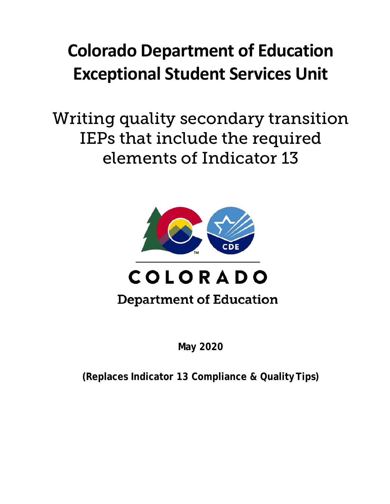# **Colorado Department of Education Exceptional Student Services Unit**

Writing quality secondary transition IEPs that include the required elements of Indicator 13



## **Department of Education**

**May 2020**

**(Replaces Indicator 13 Compliance & QualityTips)**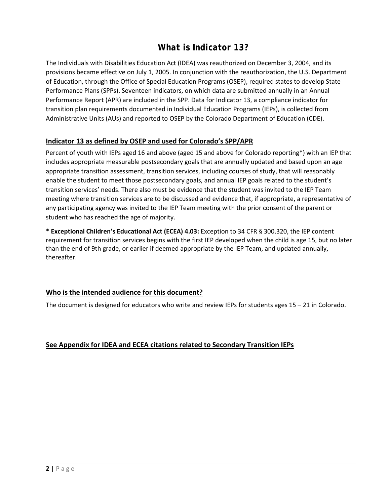### *What is Indicator 13?*

The Individuals with Disabilities Education Act (IDEA) was reauthorized on December 3, 2004, and its provisions became effective on July 1, 2005. In conjunction with the reauthorization, the U.S. Department of Education, through the Office of Special Education Programs (OSEP), required states to develop State Performance Plans (SPPs). Seventeen indicators, on which data are submitted annually in an Annual Performance Report (APR) are included in the SPP. Data for Indicator 13, a compliance indicator for transition plan requirements documented in Individual Education Programs (IEPs), is collected from Administrative Units (AUs) and reported to OSEP by the Colorado Department of Education (CDE).

#### **Indicator 13 as defined by OSEP and used for Colorado's SPP/APR**

Percent of youth with IEPs aged 16 and above (aged 15 and above for Colorado reporting\*) with an IEP that includes appropriate measurable postsecondary goals that are annually updated and based upon an age appropriate transition assessment, transition services, including courses of study, that will reasonably enable the student to meet those postsecondary goals, and annual IEP goals related to the student's transition services' needs. There also must be evidence that the student was invited to the IEP Team meeting where transition services are to be discussed and evidence that, if appropriate, a representative of any participating agency was invited to the IEP Team meeting with the prior consent of the parent or student who has reached the age of majority.

\* **Exceptional Children's Educational Act (ECEA) 4.03:** Exception to 34 CFR § 300.320, the IEP content requirement for transition services begins with the first IEP developed when the child is age 15, but no later than the end of 9th grade, or earlier if deemed appropriate by the IEP Team, and updated annually, thereafter.

#### **Who is the intended audience for this document?**

The document is designed for educators who write and review IEPs for students ages 15 – 21 in Colorado.

#### **See Appendix for IDEA and ECEA citations related to Secondary Transition IEPs**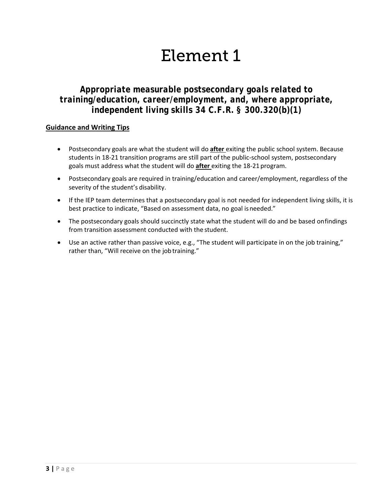### *Appropriate measurable postsecondary goals related to training/education, career/employment, and, where appropriate, independent living skills 34 C.F.R. § 300.320(b)(1)*

- Postsecondary goals are what the student will do **after** exiting the public school system. Because students in 18-21 transition programs are still part of the public-school system, postsecondary goals must address what the student will do **after** exiting the 18-21 program.
- Postsecondary goals are required in training/education and career/employment, regardless of the severity of the student's disability.
- If the IEP team determines that a postsecondary goal is not needed for independent living skills, it is best practice to indicate, "Based on assessment data, no goal is needed."
- The postsecondary goals should succinctly state what the student will do and be based onfindings from transition assessment conducted with the student.
- Use an active rather than passive voice, e.g., "The student will participate in on the job training," rather than, "Will receive on the job training."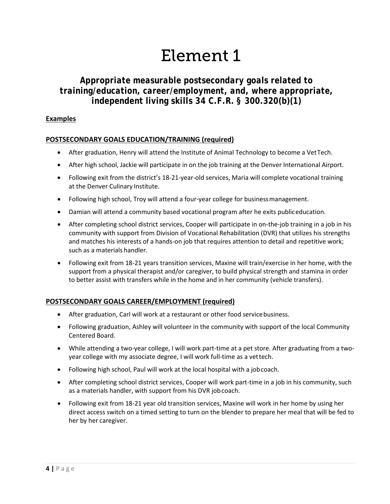### *Appropriate measurable postsecondary goals related to training/education, career/employment, and, where appropriate, independent living skills 34 C.F.R. § 300.320(b)(1)*

#### **Examples**

#### **POSTSECONDARY GOALS EDUCATION/TRAINING (required)**

- After graduation, Henry will attend the Institute of Animal Technology to become a VetTech.
- After high school, Jackie will participate in on the job training at the Denver International Airport.
- Following exit from the district's 18-21-year-old services, Maria will complete vocational training at the Denver Culinary Institute.
- Following high school, Troy will attend a four-year college for businessmanagement.
- Damian will attend a community based vocational program after he exits publiceducation.
- After completing school district services, Cooper will participate in on-the-job training in a job in his community with support from Division of Vocational Rehabilitation (DVR) that utilizes his strengths and matches his interests of a hands-on job that requires attention to detail and repetitive work; such as a materials handler.
- Following exit from 18-21 years transition services, Maxine will train/exercise in her home, with the support from a physical therapist and/or caregiver, to build physical strength and stamina in order to better assist with transfers while in the home and in her community (vehicle transfers).

#### **POSTSECONDARY GOALS CAREER/EMPLOYMENT (required)**

- After graduation, Carl will work at a restaurant or other food servicebusiness.
- Following graduation, Ashley will volunteer in the community with support of the local Community Centered Board.
- While attending a two-year college, I will work part-time at a pet store. After graduating from a twoyear college with my associate degree, I will work full-time as a vettech.
- Following high school, Paul will work at the local hospital with a jobcoach.
- After completing school district services, Cooper will work part-time in a job in his community, such as a materials handler, with support from his DVR jobcoach.
- Following exit from 18-21 year old transition services, Maxine will work in her home by using her direct access switch on a timed setting to turn on the blender to prepare her meal that will be fed to her by her caregiver.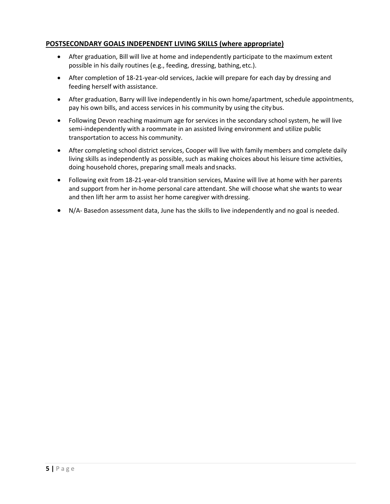#### **POSTSECONDARY GOALS INDEPENDENT LIVING SKILLS (where appropriate)**

- After graduation, Bill will live at home and independently participate to the maximum extent possible in his daily routines (e.g., feeding, dressing, bathing, etc.).
- After completion of 18-21-year-old services, Jackie will prepare for each day by dressing and feeding herself with assistance.
- After graduation, Barry will live independently in his own home/apartment, schedule appointments, pay his own bills, and access services in his community by using the citybus.
- Following Devon reaching maximum age for services in the secondary school system, he will live semi-independently with a roommate in an assisted living environment and utilize public transportation to access his community.
- After completing school district services, Cooper will live with family members and complete daily living skills as independently as possible, such as making choices about his leisure time activities, doing household chores, preparing small meals and snacks.
- Following exit from 18-21-year-old transition services, Maxine will live at home with her parents and support from her in-home personal care attendant. She will choose what she wants to wear and then lift her arm to assist her home caregiver withdressing.
- $\bullet$  N/A-Based on assessment data, June has the skills to live independently and no goal is needed.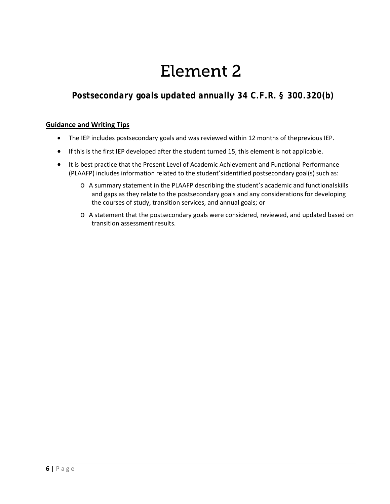## *Postsecondary goals updated annually 34 C.F.R. § 300.320(b)*

- The IEP includes postsecondary goals and was reviewed within 12 months of theprevious IEP.
- If this is the first IEP developed after the student turned 15, this element is not applicable.
- It is best practice that the Present Level of Academic Achievement and Functional Performance (PLAAFP) includes information related to the student'sidentified postsecondary goal(s) such as:
	- o A summary statement in the PLAAFP describing the student's academic and functionalskills and gaps as they relate to the postsecondary goals and any considerations for developing the courses of study, transition services, and annual goals; or
	- o A statement that the postsecondary goals were considered, reviewed, and updated based on transition assessment results.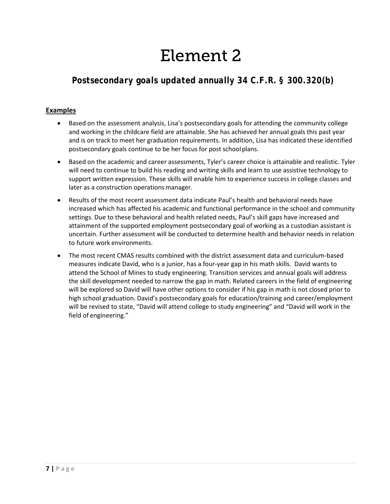## *Postsecondary goals updated annually 34 C.F.R. § 300.320(b)*

#### **Examples**

- Based on the assessment analysis, Lisa's postsecondary goals for attending the community college and working in the childcare field are attainable. She has achieved her annual goals this past year and is on track to meet her graduation requirements. In addition, Lisa has indicated these identified postsecondary goals continue to be her focus for post schoolplans.
- Based on the academic and career assessments, Tyler's career choice is attainable and realistic. Tyler will need to continue to build his reading and writing skills and learn to use assistive technology to support written expression. These skills will enable him to experience success in college classes and later as a construction operations manager.
- Results of the most recent assessment data indicate Paul's health and behavioral needs have increased which has affected his academic and functional performance in the school and community settings. Due to these behavioral and health related needs, Paul's skill gaps have increased and attainment of the supported employment postsecondary goal of working as a custodian assistant is uncertain. Further assessment will be conducted to determine health and behavior needs in relation to future work environments.
- The most recent CMAS results combined with the district assessment data and curriculum-based measures indicate David, who is a junior, has a four-year gap in his math skills. David wants to attend the School of Mines to study engineering. Transition services and annual goals will address the skill development needed to narrow the gap in math. Related careers in the field of engineering will be explored so David will have other options to consider if his gap in math is not closed prior to high school graduation. David's postsecondary goals for education/training and career/employment will be revised to state, "David will attend college to study engineering" and "David will work in the field of engineering."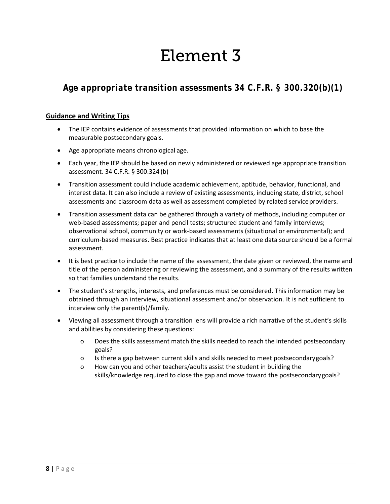### *Age appropriate transition assessments 34 C.F.R. § 300.320(b)(1)*

- The IEP contains evidence of assessments that provided information on which to base the measurable postsecondary goals.
- Age appropriate means chronological age.
- Each year, the IEP should be based on newly administered or reviewed age appropriate transition assessment. 34 C.F.R. § 300.324 (b)
- Transition assessment could include academic achievement, aptitude, behavior, functional, and interest data. It can also include a review of existing assessments, including state, district, school assessments and classroom data as well as assessment completed by related serviceproviders.
- Transition assessment data can be gathered through a variety of methods, including computer or web-based assessments; paper and pencil tests; structured student and family interviews; observational school, community or work-based assessments (situational or environmental); and curriculum-based measures. Best practice indicates that at least one data source should be a formal assessment.
- It is best practice to include the name of the assessment, the date given or reviewed, the name and title of the person administering or reviewing the assessment, and a summary of the results written so that families understand the results.
- The student's strengths, interests, and preferences must be considered. This information may be obtained through an interview, situational assessment and/or observation. It is not sufficient to interview only the parent(s)/family.
- Viewing all assessment through a transition lens will provide a rich narrative of the student's skills and abilities by considering these questions:
	- o Does the skills assessment match the skills needed to reach the intended postsecondary goals?
	- o Is there a gap between current skills and skills needed to meet postsecondarygoals?
	- o How can you and other teachers/adults assist the student in building the skills/knowledge required to close the gap and move toward the postsecondarygoals?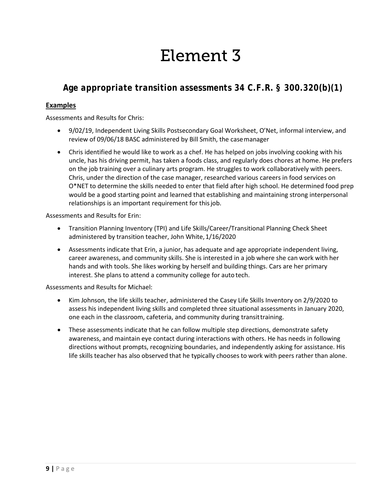### *Age appropriate transition assessments 34 C.F.R. § 300.320(b)(1)*

#### **Examples**

Assessments and Results for Chris:

- 9/02/19, Independent Living Skills Postsecondary Goal Worksheet, O'Net, informal interview, and review of 09/06/18 BASC administered by Bill Smith, the casemanager
- Chris identified he would like to work as a chef. He has helped on jobs involving cooking with his uncle, has his driving permit, has taken a foods class, and regularly does chores at home. He prefers on the job training over a culinary arts program. He struggles to work collaboratively with peers. Chris, under the direction of the case manager, researched various careers in food services on O\*NET to determine the skills needed to enter that field after high school. He determined food prep would be a good starting point and learned that establishing and maintaining strong interpersonal relationships is an important requirement for this job.

Assessments and Results for Erin:

- Transition Planning Inventory (TPI) and Life Skills/Career/Transitional Planning Check Sheet administered by transition teacher, John White,1/16/2020
- Assessments indicate that Erin, a junior, has adequate and age appropriate independent living, career awareness, and community skills. She is interested in a job where she can work with her hands and with tools. She likes working by herself and building things. Cars are her primary interest. She plans to attend a community college for auto tech.

Assessments and Results for Michael:

- Kim Johnson, the life skills teacher, administered the Casey Life Skills Inventory on 2/9/2020 to assess his independent living skills and completed three situational assessments in January 2020, one each in the classroom, cafeteria, and community during transittraining.
- These assessments indicate that he can follow multiple step directions, demonstrate safety awareness, and maintain eye contact during interactions with others. He has needs in following directions without prompts, recognizing boundaries, and independently asking for assistance. His life skills teacher has also observed that he typically chooses to work with peers rather than alone.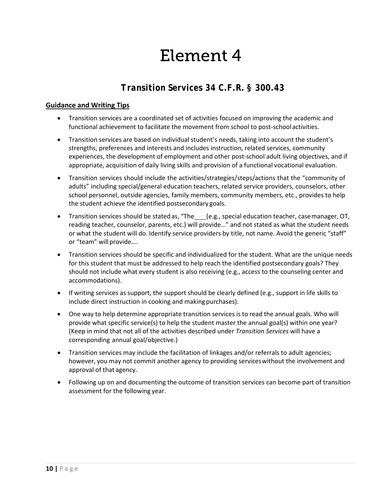### *Transition Services 34 C.F.R. § 300.43*

- Transition services are a coordinated set of activities focused on improving the academic and functional achievement to facilitate the movement from school to post-schoolactivities.
- Transition services are based on individual student's needs, taking into account the student's strengths, preferences and interests and includes instruction, related services, community experiences, the development of employment and other post-school adult living objectives, and if appropriate, acquisition of daily living skills and provision of a functional vocational evaluation.
- Transition services should include the activities/strategies/steps/actions that the "community of adults" including special/general education teachers, related service providers, counselors, other school personnel, outside agencies, family members, community members, etc., provides to help the student achieve the identified postsecondary goals.
- Transition services should be stated as, "The\_\_\_(e.g., special education teacher, casemanager, OT, reading teacher, counselor, parents, etc.) will provide…" and not stated as what the student needs or what the student will do. Identify service providers by title, not name. Avoid the generic "staff" or "team" will provide....
- Transition services should be specific and individualized for the student. What are the unique needs for this student that must be addressed to help reach the identified postsecondary goals? They should not include what every student is also receiving (e.g., access to the counseling center and accommodations).
- If writing services as support, the support should be clearly defined (e.g., support in life skills to include direct instruction in cooking and making purchases).
- One way to help determine appropriate transition services is to read the annual goals. Who will provide what specific service(s) to help the student master the annual goal(s) within one year? (Keep in mind that not all of the activities described under *Transition Services* will have a corresponding annual goal/objective.)
- Transition services may include the facilitation of linkages and/or referrals to adult agencies; however, you may not commit another agency to providing serviceswithout the involvement and approval of that agency.
- Following up on and documenting the outcome of transition services can become part of transition assessment for the following year.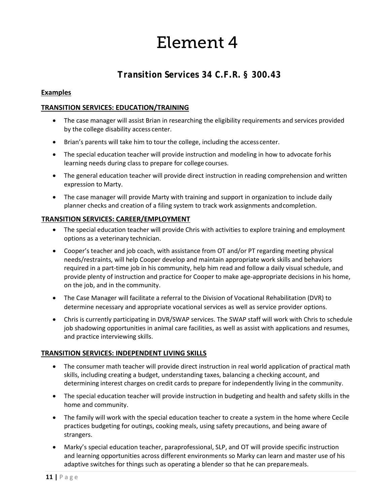### *Transition Services 34 C.F.R. § 300.43*

#### **Examples**

#### **TRANSITION SERVICES: EDUCATION/TRAINING**

- The case manager will assist Brian in researching the eligibility requirements and services provided by the college disability access center.
- Brian's parents will take him to tour the college, including the accesscenter.
- The special education teacher will provide instruction and modeling in how to advocate forhis learning needs during class to prepare for college courses.
- The general education teacher will provide direct instruction in reading comprehension and written expression to Marty.
- The case manager will provide Marty with training and support in organization to include daily planner checks and creation of a filing system to track work assignments andcompletion.

#### **TRANSITION SERVICES: CAREER/EMPLOYMENT**

- The special education teacher will provide Chris with activities to explore training and employment options as a veterinary technician.
- Cooper's teacher and job coach, with assistance from OT and/or PT regarding meeting physical needs/restraints, will help Cooper develop and maintain appropriate work skills and behaviors required in a part-time job in his community, help him read and follow a daily visual schedule, and provide plenty of instruction and practice for Cooper to make age-appropriate decisions in his home, on the job, and in the community.
- The Case Manager will facilitate a referral to the Division of Vocational Rehabilitation (DVR) to determine necessary and appropriate vocational services as well as service provider options.
- Chris is currently participating in DVR/SWAP services. The SWAP staff will work with Chris to schedule job shadowing opportunities in animal care facilities, as well as assist with applications and resumes, and practice interviewing skills.

#### **TRANSITION SERVICES: INDEPENDENT LIVING SKILLS**

- The consumer math teacher will provide direct instruction in real world application of practical math skills, including creating a budget, understanding taxes, balancing a checking account, and determining interest charges on credit cards to prepare for independently living in the community.
- The special education teacher will provide instruction in budgeting and health and safety skills in the home and community.
- The family will work with the special education teacher to create a system in the home where Cecile practices budgeting for outings, cooking meals, using safety precautions, and being aware of strangers.
- Marky's special education teacher, paraprofessional, SLP, and OT will provide specific instruction and learning opportunities across different environments so Marky can learn and master use of his adaptive switches for things such as operating a blender so that he can preparemeals.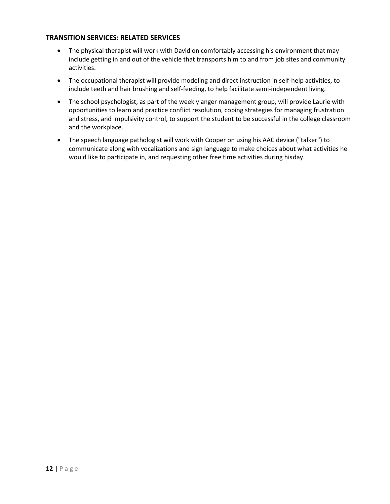#### **TRANSITION SERVICES: RELATED SERVICES**

- The physical therapist will work with David on comfortably accessing his environment that may include getting in and out of the vehicle that transports him to and from job sites and community activities.
- The occupational therapist will provide modeling and direct instruction in self-help activities, to include teeth and hair brushing and self-feeding, to help facilitate semi-independent living.
- The school psychologist, as part of the weekly anger management group, will provide Laurie with opportunities to learn and practice conflict resolution, coping strategies for managing frustration and stress, and impulsivity control, to support the student to be successful in the college classroom and the workplace.
- The speech language pathologist will work with Cooper on using his AAC device ("talker") to communicate along with vocalizations and sign language to make choices about what activities he would like to participate in, and requesting other free time activities during hisday.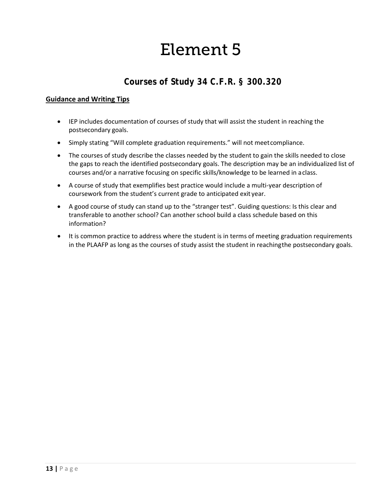### *Courses of Study 34 C.F.R. § 300.320*

- IEP includes documentation of courses of study that will assist the student in reaching the postsecondary goals.
- Simply stating "Will complete graduation requirements." will not meetcompliance.
- The courses of study describe the classes needed by the student to gain the skills needed to close the gaps to reach the identified postsecondary goals. The description may be an individualized list of courses and/or a narrative focusing on specific skills/knowledge to be learned in aclass.
- A course of study that exemplifies best practice would include a multi-year description of coursework from the student's current grade to anticipated exit year.
- A good course of study can stand up to the "stranger test". Guiding questions: Is this clear and transferable to another school? Can another school build a class schedule based on this information?
- It is common practice to address where the student is in terms of meeting graduation requirements in the PLAAFP as long as the courses of study assist the student in reachingthe postsecondary goals.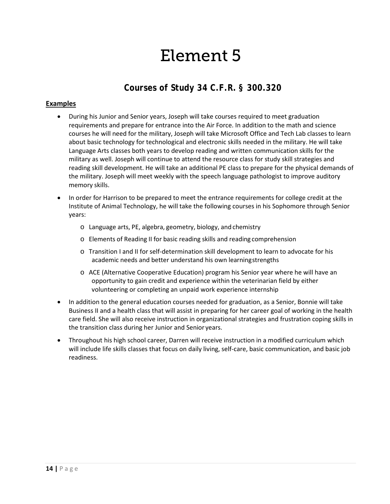### *Courses of Study 34 C.F.R. § 300.320*

#### **Examples**

- During his Junior and Senior years, Joseph will take courses required to meet graduation requirements and prepare for entrance into the Air Force. In addition to the math and science courses he will need for the military, Joseph will take Microsoft Office and Tech Lab classes to learn about basic technology for technological and electronic skills needed in the military. He will take Language Arts classes both years to develop reading and written communication skills for the military as well. Joseph will continue to attend the resource class for study skill strategies and reading skill development. He will take an additional PE class to prepare for the physical demands of the military. Joseph will meet weekly with the speech language pathologist to improve auditory memory skills.
- In order for Harrison to be prepared to meet the entrance requirements for college credit at the Institute of Animal Technology, he will take the following courses in his Sophomore through Senior years:
	- o Language arts, PE, algebra, geometry, biology, and chemistry
	- o Elements of Reading II for basic reading skills and reading comprehension
	- o Transition I and II for self-determination skill development to learn to advocate for his academic needs and better understand his own learningstrengths
	- o ACE (Alternative Cooperative Education) program his Senior year where he will have an opportunity to gain credit and experience within the veterinarian field by either volunteering or completing an unpaid work experience internship
- In addition to the general education courses needed for graduation, as a Senior, Bonnie will take Business II and a health class that will assist in preparing for her career goal of working in the health care field. She will also receive instruction in organizational strategies and frustration coping skills in the transition class during her Junior and Senior years.
- Throughout his high school career, Darren will receive instruction in a modified curriculum which will include life skills classes that focus on daily living, self-care, basic communication, and basic job readiness.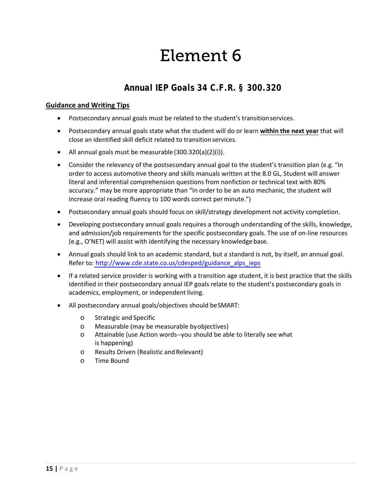### *Annual IEP Goals 34 C.F.R. § 300.320*

- Postsecondary annual goals must be related to the student's transitionservices.
- Postsecondary annual goals state what the student will do or learn **within the next year** that will close an identified skill deficit related to transition services.
- All annual goals must be measurable(300.320(a)(2)(i)).
- Consider the relevancy of the postsecondary annual goal to the student's transition plan (e.g. "In order to access automotive theory and skills manuals written at the 8.0 GL, Student will answer literal and inferential comprehension questions from nonfiction or technical text with 80% accuracy." may be more appropriate than "In order to be an auto mechanic, the student will increase oral reading fluency to 100 words correct perminute.")
- Postsecondary annual goals should focus on skill/strategy development not activity completion.
- Developing postsecondary annual goals requires a thorough understanding of the skills, knowledge, and admission/job requirements for the specific postsecondary goals. The use of on-line resources (e.g., O'NET) will assist with identifying the necessary knowledge base.
- Annual goals should link to an academic standard, but a standard is not, by itself, an annual goal. Refer to: [http://www.cde.state.co.us/cdesped/guidance\\_alps\\_ieps](http://www.cde.state.co.us/cdesped/guidance_alps_ieps)
- If a related service provider is working with a transition age student, it is best practice that the skills identified in their postsecondary annual IEP goals relate to the student's postsecondary goals in academics, employment, or independent living.
- All postsecondary annual goals/objectives should beSMART:
	- o Strategic and Specific
	- o Measurable (may be measurable byobjectives)
	- o Attainable (use Action words--you should be able to literally see what is happening)
	- o Results Driven (Realistic andRelevant)
	- o Time Bound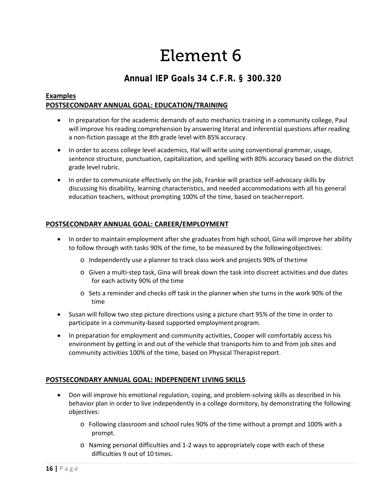### *Annual IEP Goals 34 C.F.R. § 300.320*

#### **Examples POSTSECONDARY ANNUAL GOAL: EDUCATION/TRAINING**

- In preparation for the academic demands of auto mechanics training in a community college, Paul will improve his reading comprehension by answering literal and inferential questions after reading a non-fiction passage at the 8th grade level with 85%accuracy.
- In order to access college level academics, Hal will write using conventional grammar, usage, sentence structure, punctuation, capitalization, and spelling with 80% accuracy based on the district grade level rubric.
- In order to communicate effectively on the job, Frankie will practice self-advocacy skills by discussing his disability, learning characteristics, and needed accommodations with all his general education teachers, without prompting 100% of the time, based on teacherreport.

#### **POSTSECONDARY ANNUAL GOAL: CAREER/EMPLOYMENT**

- In order to maintain employment after she graduates from high school, Gina will improve her ability to follow through with tasks 90% of the time, to be measured by the followingobjectives:
	- o Independently use a planner to track class work and projects 90% of thetime
	- o Given a multi-step task, Gina will break down the task into discreet activities and due dates for each activity 90% of the time
	- o Sets a reminder and checks off task in the planner when she turns in the work 90% of the time
- Susan will follow two step picture directions using a picture chart 95% of the time in order to participate in a community-based supported employment program.
- In preparation for employment and community activities, Cooper will comfortably access his environment by getting in and out of the vehicle that transports him to and from job sites and community activities 100% of the time, based on Physical Therapistreport.

#### **POSTSECONDARY ANNUAL GOAL: INDEPENDENT LIVING SKILLS**

- Don will improve his emotional regulation, coping, and problem-solving skills as described in his behavior plan in order to live independently in a college dormitory, by demonstrating the following objectives:
	- o Following classroom and school rules 90% of the time without a prompt and 100% with a prompt.
	- o Naming personal difficulties and 1-2 ways to appropriately cope with each of these difficulties 9 out of 10 times.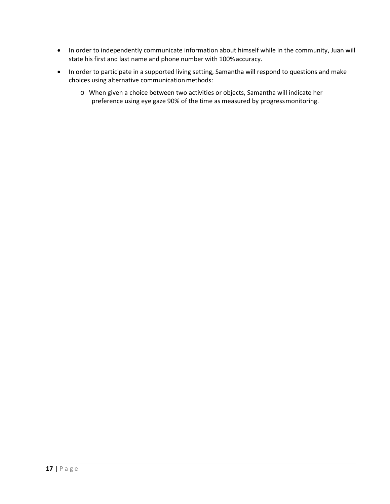- In order to independently communicate information about himself while in the community, Juan will state his first and last name and phone number with 100%accuracy.
- In order to participate in a supported living setting, Samantha will respond to questions and make choices using alternative communication methods:
	- o When given a choice between two activities or objects, Samantha will indicate her preference using eye gaze 90% of the time as measured by progressmonitoring.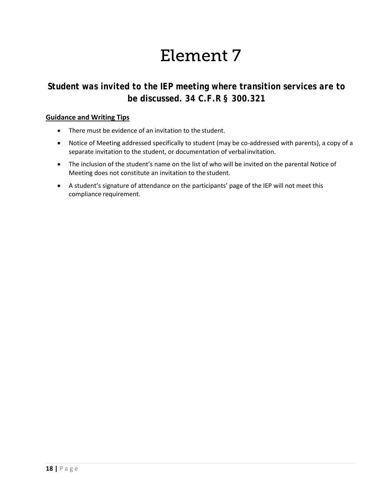### *Student was invited to the IEP meeting where transition services are to be discussed. 34 C.F.R § 300.321*

- There must be evidence of an invitation to the student.
- Notice of Meeting addressed specifically to student (may be co-addressed with parents), a copy of a separate invitation to the student, or documentation of verbalinvitation.
- The inclusion of the student's name on the list of who will be invited on the parental Notice of Meeting does not constitute an invitation to the student.
- A student's signature of attendance on the participants' page of the IEP will not meet this compliance requirement.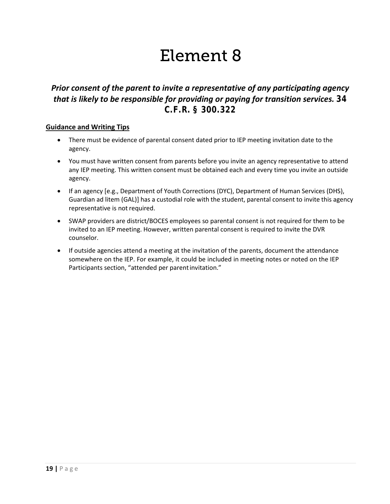### *Prior consent of the parent to invite a representative of any participating agency that is likely to be responsible for providing or paying for transition services. 34 C.F.R. § 300.322*

- There must be evidence of parental consent dated prior to IEP meeting invitation date to the agency.
- You must have written consent from parents before you invite an agency representative to attend any IEP meeting. This written consent must be obtained each and every time you invite an outside agency.
- If an agency [e.g., Department of Youth Corrections (DYC), Department of Human Services (DHS), Guardian ad litem (GAL)] has a custodial role with the student, parental consent to invite this agency representative is not required.
- SWAP providers are district/BOCES employees so parental consent is not required for them to be invited to an IEP meeting. However, written parental consent is required to invite the DVR counselor.
- If outside agencies attend a meeting at the invitation of the parents, document the attendance somewhere on the IEP. For example, it could be included in meeting notes or noted on the IEP Participants section, "attended per parentinvitation."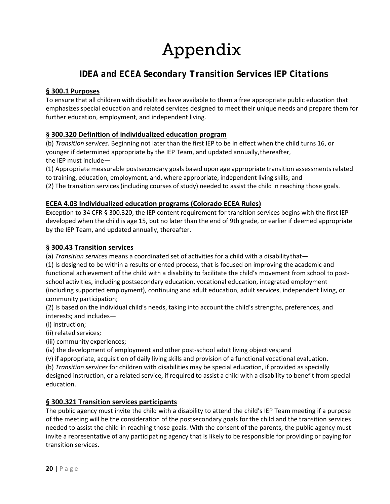# Appendix

### *IDEA and ECEA Secondary Transition Services IEP Citations*

#### **§ 300.1 Purposes**

To ensure that all children with disabilities have available to them a free appropriate public education that emphasizes special education and related services designed to meet their unique needs and prepare them for further education, employment, and independent living.

#### **§ 300.320 Definition of individualized education program**

(b) *Transition services.* Beginning not later than the first IEP to be in effect when the child turns 16, or younger if determined appropriate by the IEP Team, and updated annually, thereafter, the IEP must include—

(1) Appropriate measurable postsecondary goals based upon age appropriate transition assessments related to training, education, employment, and, where appropriate, independent living skills; and

(2) The transition services (including courses of study) needed to assist the child in reaching those goals.

#### **ECEA 4.03 Individualized education programs (Colorado ECEA Rules)**

Exception to 34 CFR § 300.320, the IEP content requirement for transition services begins with the first IEP developed when the child is age 15, but no later than the end of 9th grade, or earlier if deemed appropriate by the IEP Team, and updated annually, thereafter.

#### **§ 300.43 Transition services**

(a) *Transition services* means a coordinated set of activities for a child with a disabilitythat—

(1) Is designed to be within a results oriented process, that is focused on improving the academic and functional achievement of the child with a disability to facilitate the child's movement from school to postschool activities, including postsecondary education, vocational education, integrated employment (including supported employment), continuing and adult education, adult services, independent living, or community participation;

(2) Is based on the individual child's needs, taking into account the child's strengths, preferences, and interests; and includes—

(i) instruction;

(ii) related services;

(iii) community experiences;

(iv) the development of employment and other post-school adult living objectives; and

(v) if appropriate, acquisition of daily living skills and provision of a functional vocational evaluation.

(b) *Transition services* for children with disabilities may be special education, if provided as specially

designed instruction, or a related service, if required to assist a child with a disability to benefit from special education.

#### **§ 300.321 Transition services participants**

The public agency must invite the child with a disability to attend the child's IEP Team meeting if a purpose of the meeting will be the consideration of the postsecondary goals for the child and the transition services needed to assist the child in reaching those goals. With the consent of the parents, the public agency must invite a representative of any participating agency that is likely to be responsible for providing or paying for transition services.